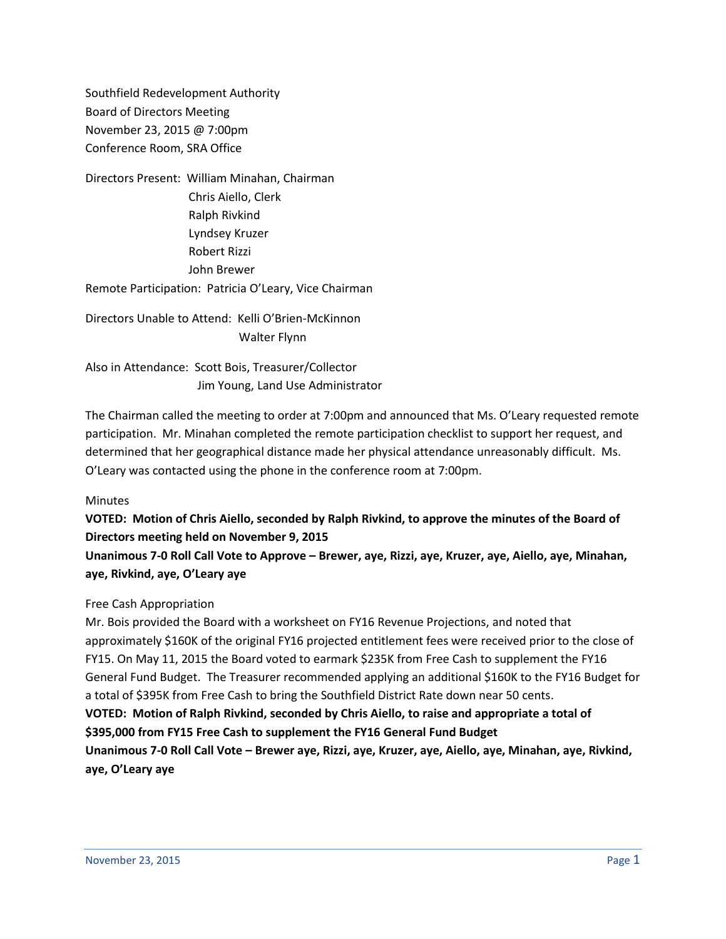Southfield Redevelopment Authority Board of Directors Meeting November 23, 2015 @ 7:00pm Conference Room, SRA Office

Directors Present: William Minahan, Chairman Chris Aiello, Clerk Ralph Rivkind Lyndsey Kruzer Robert Rizzi John Brewer Remote Participation: Patricia O'Leary, Vice Chairman

Directors Unable to Attend: Kelli O'Brien-McKinnon Walter Flynn

Also in Attendance: Scott Bois, Treasurer/Collector Jim Young, Land Use Administrator

The Chairman called the meeting to order at 7:00pm and announced that Ms. O'Leary requested remote participation. Mr. Minahan completed the remote participation checklist to support her request, and determined that her geographical distance made her physical attendance unreasonably difficult. Ms. O'Leary was contacted using the phone in the conference room at 7:00pm.

### **Minutes**

**VOTED: Motion of Chris Aiello, seconded by Ralph Rivkind, to approve the minutes of the Board of Directors meeting held on November 9, 2015**

**Unanimous 7-0 Roll Call Vote to Approve – Brewer, aye, Rizzi, aye, Kruzer, aye, Aiello, aye, Minahan, aye, Rivkind, aye, O'Leary aye**

### Free Cash Appropriation

Mr. Bois provided the Board with a worksheet on FY16 Revenue Projections, and noted that approximately \$160K of the original FY16 projected entitlement fees were received prior to the close of FY15. On May 11, 2015 the Board voted to earmark \$235K from Free Cash to supplement the FY16 General Fund Budget. The Treasurer recommended applying an additional \$160K to the FY16 Budget for a total of \$395K from Free Cash to bring the Southfield District Rate down near 50 cents. **VOTED: Motion of Ralph Rivkind, seconded by Chris Aiello, to raise and appropriate a total of \$395,000 from FY15 Free Cash to supplement the FY16 General Fund Budget Unanimous 7-0 Roll Call Vote – Brewer aye, Rizzi, aye, Kruzer, aye, Aiello, aye, Minahan, aye, Rivkind, aye, O'Leary aye**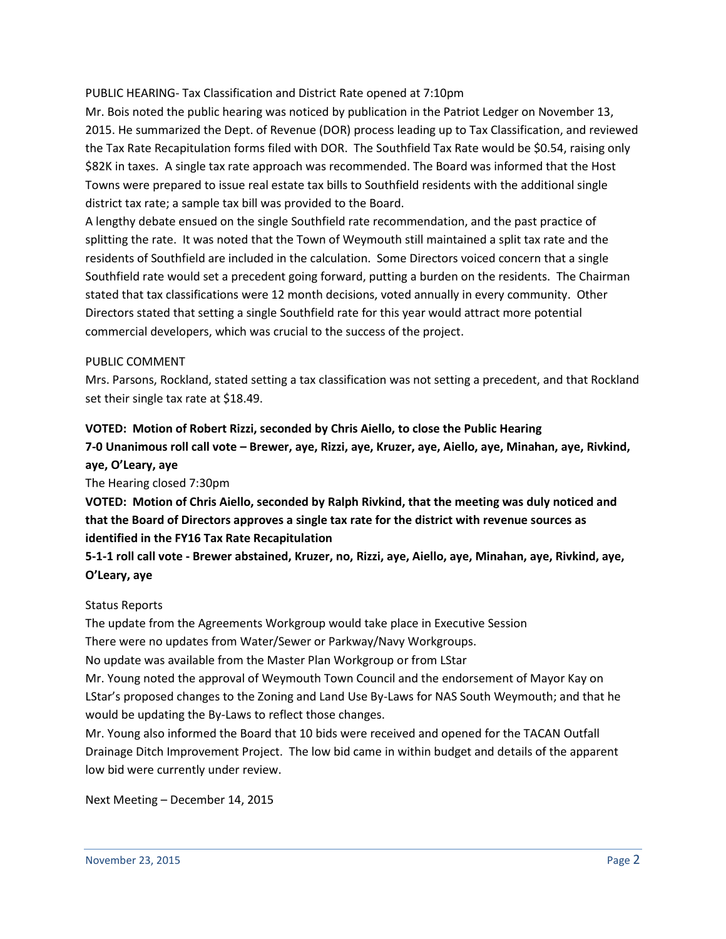## PUBLIC HEARING- Tax Classification and District Rate opened at 7:10pm

Mr. Bois noted the public hearing was noticed by publication in the Patriot Ledger on November 13, 2015. He summarized the Dept. of Revenue (DOR) process leading up to Tax Classification, and reviewed the Tax Rate Recapitulation forms filed with DOR. The Southfield Tax Rate would be \$0.54, raising only \$82K in taxes. A single tax rate approach was recommended. The Board was informed that the Host Towns were prepared to issue real estate tax bills to Southfield residents with the additional single district tax rate; a sample tax bill was provided to the Board.

A lengthy debate ensued on the single Southfield rate recommendation, and the past practice of splitting the rate. It was noted that the Town of Weymouth still maintained a split tax rate and the residents of Southfield are included in the calculation. Some Directors voiced concern that a single Southfield rate would set a precedent going forward, putting a burden on the residents. The Chairman stated that tax classifications were 12 month decisions, voted annually in every community. Other Directors stated that setting a single Southfield rate for this year would attract more potential commercial developers, which was crucial to the success of the project.

### PUBLIC COMMENT

Mrs. Parsons, Rockland, stated setting a tax classification was not setting a precedent, and that Rockland set their single tax rate at \$18.49.

# **VOTED: Motion of Robert Rizzi, seconded by Chris Aiello, to close the Public Hearing**

**7-0 Unanimous roll call vote – Brewer, aye, Rizzi, aye, Kruzer, aye, Aiello, aye, Minahan, aye, Rivkind, aye, O'Leary, aye**

The Hearing closed 7:30pm

**VOTED: Motion of Chris Aiello, seconded by Ralph Rivkind, that the meeting was duly noticed and that the Board of Directors approves a single tax rate for the district with revenue sources as identified in the FY16 Tax Rate Recapitulation**

**5-1-1 roll call vote - Brewer abstained, Kruzer, no, Rizzi, aye, Aiello, aye, Minahan, aye, Rivkind, aye, O'Leary, aye**

### Status Reports

The update from the Agreements Workgroup would take place in Executive Session

There were no updates from Water/Sewer or Parkway/Navy Workgroups.

No update was available from the Master Plan Workgroup or from LStar

Mr. Young noted the approval of Weymouth Town Council and the endorsement of Mayor Kay on LStar's proposed changes to the Zoning and Land Use By-Laws for NAS South Weymouth; and that he would be updating the By-Laws to reflect those changes.

Mr. Young also informed the Board that 10 bids were received and opened for the TACAN Outfall Drainage Ditch Improvement Project. The low bid came in within budget and details of the apparent low bid were currently under review.

### Next Meeting – December 14, 2015